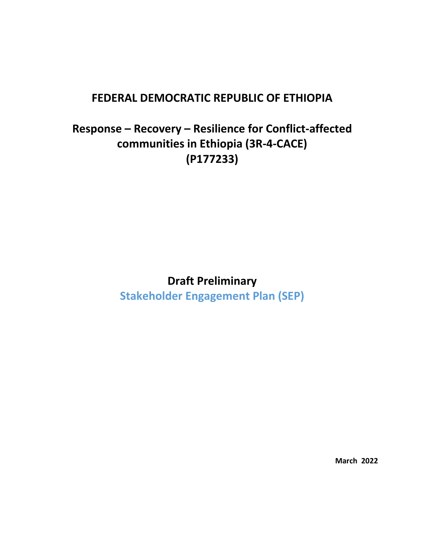## **FEDERAL DEMOCRATIC REPUBLIC OF ETHIOPIA**

# **Response – Recovery – Resilience for Conflict-affected communities in Ethiopia (3R-4-CACE) (P177233)**

## **Draft Preliminary**

**Stakeholder Engagement Plan (SEP)**

**March 2022**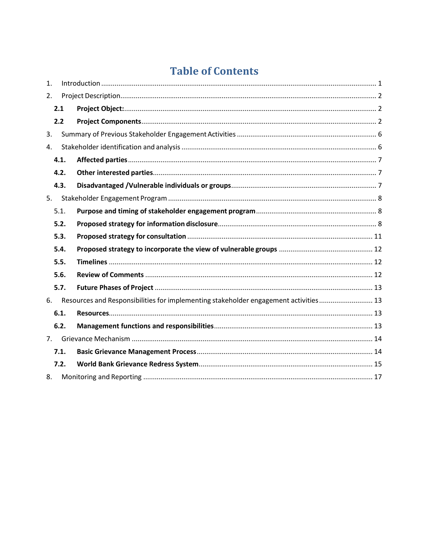# **Table of Contents**

| 1. |      |                                                                                      |  |  |
|----|------|--------------------------------------------------------------------------------------|--|--|
| 2. |      |                                                                                      |  |  |
|    | 2.1  |                                                                                      |  |  |
|    | 2.2  |                                                                                      |  |  |
| 3. |      |                                                                                      |  |  |
| 4. |      |                                                                                      |  |  |
|    | 4.1. |                                                                                      |  |  |
|    | 4.2. |                                                                                      |  |  |
|    | 4.3. |                                                                                      |  |  |
| 5. |      |                                                                                      |  |  |
|    | 5.1. |                                                                                      |  |  |
|    | 5.2. |                                                                                      |  |  |
|    | 5.3. |                                                                                      |  |  |
|    | 5.4. |                                                                                      |  |  |
|    | 5.5. |                                                                                      |  |  |
|    | 5.6. |                                                                                      |  |  |
|    | 5.7. |                                                                                      |  |  |
| 6. |      | Resources and Responsibilities for implementing stakeholder engagement activities 13 |  |  |
|    | 6.1. |                                                                                      |  |  |
|    | 6.2. |                                                                                      |  |  |
| 7. |      |                                                                                      |  |  |
|    | 7.1. |                                                                                      |  |  |
|    | 7.2. |                                                                                      |  |  |
| 8. |      |                                                                                      |  |  |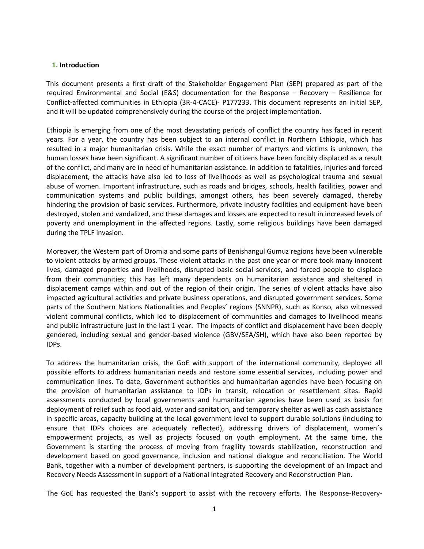### <span id="page-2-0"></span>**1. Introduction**

This document presents a first draft of the Stakeholder Engagement Plan (SEP) prepared as part of the required Environmental and Social (E&S) documentation for the Response – Recovery – Resilience for Conflict-affected communities in Ethiopia (3R-4-CACE)- P177233. This document represents an initial SEP, and it will be updated comprehensively during the course of the project implementation.

Ethiopia is emerging from one of the most devastating periods of conflict the country has faced in recent years. For a year, the country has been subject to an internal conflict in Northern Ethiopia, which has resulted in a major humanitarian crisis. While the exact number of martyrs and victims is unknown, the human losses have been significant. A significant number of citizens have been forcibly displaced as a result of the conflict, and many are in need of humanitarian assistance. In addition to fatalities, injuries and forced displacement, the attacks have also led to loss of livelihoods as well as psychological trauma and sexual abuse of women. Important infrastructure, such as roads and bridges, schools, health facilities, power and communication systems and public buildings, amongst others, has been severely damaged, thereby hindering the provision of basic services. Furthermore, private industry facilities and equipment have been destroyed, stolen and vandalized, and these damages and losses are expected to result in increased levels of poverty and unemployment in the affected regions. Lastly, some religious buildings have been damaged during the TPLF invasion.

Moreover, the Western part of Oromia and some parts of Benishangul Gumuz regions have been vulnerable to violent attacks by armed groups. These violent attacks in the past one year or more took many innocent lives, damaged properties and livelihoods, disrupted basic social services, and forced people to displace from their communities; this has left many dependents on humanitarian assistance and sheltered in displacement camps within and out of the region of their origin. The series of violent attacks have also impacted agricultural activities and private business operations, and disrupted government services. Some parts of the Southern Nations Nationalities and Peoples' regions (SNNPR), such as Konso, also witnessed violent communal conflicts, which led to displacement of communities and damages to livelihood means and public infrastructure just in the last 1 year. The impacts of conflict and displacement have been deeply gendered, including sexual and gender-based violence (GBV/SEA/SH), which have also been reported by IDPs.

To address the humanitarian crisis, the GoE with support of the international community, deployed all possible efforts to address humanitarian needs and restore some essential services, including power and communication lines. To date, Government authorities and humanitarian agencies have been focusing on the provision of humanitarian assistance to IDPs in transit, relocation or resettlement sites. Rapid assessments conducted by local governments and humanitarian agencies have been used as basis for deployment of relief such as food aid, water and sanitation, and temporary shelter as well as cash assistance in specific areas, capacity building at the local government level to support durable solutions (including to ensure that IDPs choices are adequately reflected), addressing drivers of displacement, women's empowerment projects, as well as projects focused on youth employment. At the same time, the Government is starting the process of moving from fragility towards stabilization, reconstruction and development based on good governance, inclusion and national dialogue and reconciliation. The World Bank, together with a number of development partners, is supporting the development of an Impact and Recovery Needs Assessment in support of a National Integrated Recovery and Reconstruction Plan.

The GoE has requested the Bank's support to assist with the recovery efforts. The Response-Recovery-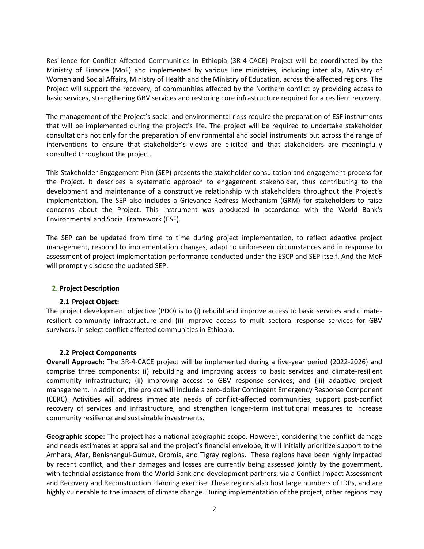Resilience for Conflict Affected Communities in Ethiopia (3R-4-CACE) Project will be coordinated by the Ministry of Finance (MoF) and implemented by various line ministries, including inter alia, Ministry of Women and Social Affairs, Ministry of Health and the Ministry of Education, across the affected regions. The Project will support the recovery, of communities affected by the Northern conflict by providing access to basic services, strengthening GBV services and restoring core infrastructure required for a resilient recovery.

The management of the Project's social and environmental risks require the preparation of ESF instruments that will be implemented during the project's life. The project will be required to undertake stakeholder consultations not only for the preparation of environmental and social instruments but across the range of interventions to ensure that stakeholder's views are elicited and that stakeholders are meaningfully consulted throughout the project.

This Stakeholder Engagement Plan (SEP) presents the stakeholder consultation and engagement process for the Project. It describes a systematic approach to engagement stakeholder, thus contributing to the development and maintenance of a constructive relationship with stakeholders throughout the Project's implementation. The SEP also includes a Grievance Redress Mechanism (GRM) for stakeholders to raise concerns about the Project. This instrument was produced in accordance with the World Bank's Environmental and Social Framework (ESF).

The SEP can be updated from time to time during project implementation, to reflect adaptive project management, respond to implementation changes, adapt to unforeseen circumstances and in response to assessment of project implementation performance conducted under the ESCP and SEP itself. And the MoF will promptly disclose the updated SEP.

## <span id="page-3-1"></span><span id="page-3-0"></span>**2. Project Description**

## **2.1 Project Object:**

The project development objective (PDO) is to (i) rebuild and improve access to basic services and climateresilient community infrastructure and (ii) improve access to multi-sectoral response services for GBV survivors, in select conflict-affected communities in Ethiopia.

## **2.2 Project Components**

<span id="page-3-2"></span>**Overall Approach:** The 3R-4-CACE project will be implemented during a five-year period (2022-2026) and comprise three components: (i) rebuilding and improving access to basic services and climate-resilient community infrastructure; (ii) improving access to GBV response services; and (iii) adaptive project management. In addition, the project will include a zero-dollar Contingent Emergency Response Component (CERC). Activities will address immediate needs of conflict-affected communities, support post-conflict recovery of services and infrastructure, and strengthen longer-term institutional measures to increase community resilience and sustainable investments.

**Geographic scope:** The project has a national geographic scope. However, considering the conflict damage and needs estimates at appraisal and the project's financial envelope, it will initially prioritize support to the Amhara, Afar, Benishangul-Gumuz, Oromia, and Tigray regions. These regions have been highly impacted by recent conflict, and their damages and losses are currently being assessed jointly by the government, with techncial assistance from the World Bank and development partners, via a Conflict Impact Assessment and Recovery and Reconstruction Planning exercise. These regions also host large numbers of IDPs, and are highly vulnerable to the impacts of climate change. During implementation of the project, other regions may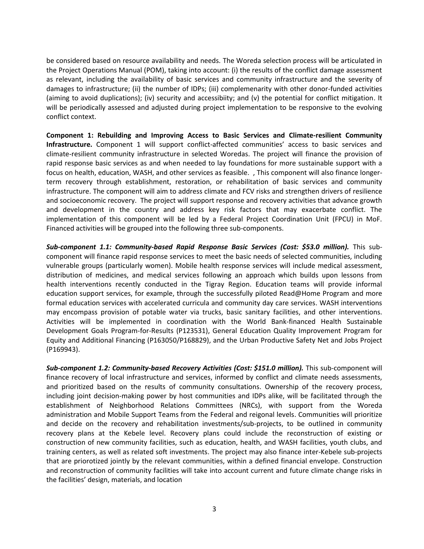be considered based on resource availability and needs. The Woreda selection process will be articulated in the Project Operations Manual (POM), taking into account: (i) the results of the conflict damage assessment as relevant, including the availability of basic services and community infrastructure and the severity of damages to infrastructure; (ii) the number of IDPs; (iii) complemenarity with other donor-funded activities (aiming to avoid duplications); (iv) security and accessibiity; and (v) the potential for conflict mitigation. It will be periodically assessed and adjusted during project implementation to be responsive to the evolving conflict context.

**Component 1: Rebuilding and Improving Access to Basic Services and Climate-resilient Community Infrastructure.** Component 1 will support conflict-affected communities' access to basic services and climate-resilient community infrastructure in selected Woredas. The project will finance the provision of rapid response basic services as and when needed to lay foundations for more sustainable support with a focus on health, education, WASH, and other services as feasible. , This component will also finance longerterm recovery through establishment, restoration, or rehabilitation of basic services and community infrastructure. The component will aim to address climate and FCV risks and strengthen drivers of resilience and socioeconomic recovery. The project will support response and recovery activities that advance growth and development in the country and address key risk factors that may exacerbate conflict. The implementation of this component will be led by a Federal Project Coordination Unit (FPCU) in MoF. Financed activities will be grouped into the following three sub-components.

*Sub-component 1.1: Community-based Rapid Response Basic Services (Cost: \$53.0 million).* This subcomponent will finance rapid response services to meet the basic needs of selected communities, including vulnerable groups (particularly women). Mobile health response services will include medical assessment, distribution of medicines, and medical services following an approach which builds upon lessons from health interventions recently conducted in the Tigray Region. Education teams will provide informal education support services, for example, through the successfully piloted Read@Home Program and more formal education services with accelerated curricula and community day care services. WASH interventions may encompass provision of potable water via trucks, basic sanitary facilities, and other interventions. Activities will be implemented in coordination with the World Bank-financed Health Sustainable Development Goals Program-for-Results (P123531), General Education Quality Improvement Program for Equity and Additional Financing (P163050/P168829), and the Urban Productive Safety Net and Jobs Project (P169943).

*Sub-component 1.2: Community-based Recovery Activities (Cost: \$151.0 million).* This sub-component will finance recovery of local infrastructure and services, informed by conflict and climate needs assessments, and prioritized based on the results of community consultations. Ownership of the recovery process, including joint decision-making power by host communities and IDPs alike, will be facilitated through the establishment of Neighborhood Relations Committees (NRCs), with support from the Woreda administration and Mobile Support Teams from the Federal and reigonal levels. Communities will prioritize and decide on the recovery and rehabilitation investments/sub-projects, to be outlined in community recovery plans at the Kebele level. Recovery plans could include the reconstruction of existing or construction of new community facilities, such as education, health, and WASH facilities, youth clubs, and training centers, as well as related soft investments. The project may also finance inter-Kebele sub-projects that are priorotized jointly by the relevant communities, within a defined financial envelope. Construction and reconstruction of community facilities will take into account current and future climate change risks in the facilities' design, materials, and location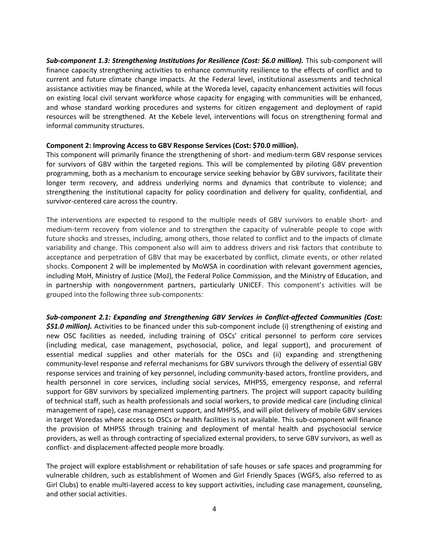*Sub-component 1.3: Strengthening Institutions for Resilience (Cost: \$6.0 million).* This sub-component will finance capacity strengthening activities to enhance community resilience to the effects of conflict and to current and future climate change impacts. At the Federal level, institutional assessments and technical assistance activities may be financed, while at the Woreda level, capacity enhancement activities will focus on existing local civil servant workforce whose capacity for engaging with communities will be enhanced, and whose standard working procedures and systems for citizen engagement and deployment of rapid resources will be strengthened. At the Kebele level, interventions will focus on strengthening formal and informal community structures.

## **Component 2: Improving Access to GBV Response Services (Cost: \$70.0 million).**

This component will primarily finance the strengthening of short- and medium-term GBV response services for survivors of GBV within the targeted regions. This will be complemented by piloting GBV prevention programming, both as a mechanism to encourage service seeking behavior by GBV survivors, facilitate their longer term recovery, and address underlying norms and dynamics that contribute to violence; and strengthening the institutional capacity for policy coordination and delivery for quality, confidential, and survivor-centered care across the country.

The interventions are expected to respond to the multiple needs of GBV survivors to enable short- and medium-term recovery from violence and to strengthen the capacity of vulnerable people to cope with future shocks and stresses, including, among others, those related to conflict and to the impacts of climate variability and change. This component also will aim to address drivers and risk factors that contribute to acceptance and perpetration of GBV that may be exacerbated by conflict, climate events, or other related shocks. Component 2 will be implemented by MoWSA in coordination with relevant government agencies, including MoH, Ministry of Justice (MoJ), the Federal Police Commission, and the Ministry of Education, and in partnership with nongovernment partners, particularly UNICEF. This component's activities will be grouped into the following three sub-components:

*Sub-component 2.1: Expanding and Strengthening GBV Services in Conflict-affected Communities (Cost: \$51.0 million).* Activities to be financed under this sub-component include (i) strengthening of existing and new OSC facilities as needed, including training of OSCs' critical personnel to perform core services (including medical, case management, psychosocial, police, and legal support), and procurement of essential medical supplies and other materials for the OSCs and (ii) expanding and strengthening community-level response and referral mechanisms for GBV survivors through the delivery of essential GBV response services and training of key personnel, including community-based actors, frontline providers, and health personnel in core services, including social services, MHPSS, emergency response, and referral support for GBV survivors by specialized implementing partners. The project will support capacity building of technical staff, such as health professionals and social workers, to provide medical care (including clinical management of rape), case management support, and MHPSS, and will pilot delivery of mobile GBV services in target Woredas where access to OSCs or health facilities is not available. This sub-component will finance the provision of MHPSS through training and deployment of mental health and psychosocial service providers, as well as through contracting of specialized external providers, to serve GBV survivors, as well as conflict- and displacement-affected people more broadly.

The project will explore establishment or rehabilitation of safe houses or safe spaces and programming for vulnerable children, such as establishment of Women and Girl Friendly Spaces (WGFS, also referred to as Girl Clubs) to enable multi-layered access to key support activities, including case management, counseling, and other social activities.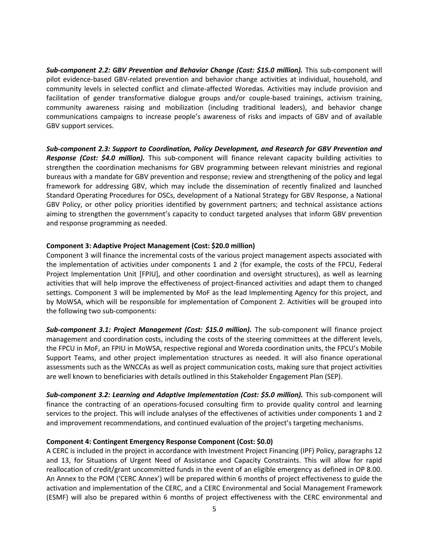*Sub-component 2.2: GBV Prevention and Behavior Change (Cost: \$15.0 million).* This sub-component will pilot evidence-based GBV-related prevention and behavior change activities at individual, household, and community levels in selected conflict and climate-affected Woredas. Activities may include provision and facilitation of gender transformative dialogue groups and/or couple-based trainings, activism training, community awareness raising and mobilization (including traditional leaders), and behavior change communications campaigns to increase people's awareness of risks and impacts of GBV and of available GBV support services.

*Sub-component 2.3: Support to Coordination, Policy Development, and Research for GBV Prevention and Response (Cost: \$4.0 million).* This sub-component will finance relevant capacity building activities to strengthen the coordination mechanisms for GBV programming between relevant ministries and regional bureaus with a mandate for GBV prevention and response; review and strengthening of the policy and legal framework for addressing GBV, which may include the dissemination of recently finalized and launched Standard Operating Procedures for OSCs, development of a National Strategy for GBV Response, a National GBV Policy, or other policy priorities identified by government partners; and technical assistance actions aiming to strengthen the government's capacity to conduct targeted analyses that inform GBV prevention and response programming as needed.

## **Component 3: Adaptive Project Management (Cost: \$20.0 million)**

Component 3 will finance the incremental costs of the various project management aspects associated with the implementation of activities under components 1 and 2 (for example, the costs of the FPCU, Federal Project Implementation Unit [FPIU], and other coordination and oversight structures), as well as learning activities that will help improve the effectiveness of project-financed activities and adapt them to changed settings. Component 3 will be implemented by MoF as the lead Implementing Agency for this project, and by MoWSA, which will be responsible for implementation of Component 2. Activities will be grouped into the following two sub-components:

*Sub-component 3.1: Project Management (Cost: \$15.0 million).* The sub-component will finance project management and coordination costs, including the costs of the steering committees at the different levels, the FPCU in MoF, an FPIU in MoWSA, respective regional and Woreda coordination units, the FPCU's Mobile Support Teams, and other project implementation structures as needed. It will also finance operational assessments such as the WNCCAs as well as project communication costs, making sure that project activities are well known to beneficiaries with details outlined in this Stakeholder Engagement Plan (SEP).

*Sub-component 3.2: Learning and Adaptive Implementation (Cost: \$5.0 million).* This sub-component will finance the contracting of an operations-focused consulting firm to provide quality control and learning services to the project. This will include analyses of the effectivenes of activities under components 1 and 2 and improvement recommendations, and continued evaluation of the project's targeting mechanisms.

### **Component 4: Contingent Emergency Response Component (Cost: \$0.0)**

A CERC is included in the project in accordance with Investment Project Financing (IPF) Policy, paragraphs 12 and 13, for Situations of Urgent Need of Assistance and Capacity Constraints. This will allow for rapid reallocation of credit/grant uncommitted funds in the event of an eligible emergency as defined in OP 8.00. An Annex to the POM ('CERC Annex') will be prepared within 6 months of project effectiveness to guide the activation and implementation of the CERC, and a CERC Environmental and Social Management Framework (ESMF) will also be prepared within 6 months of project effectiveness with the CERC environmental and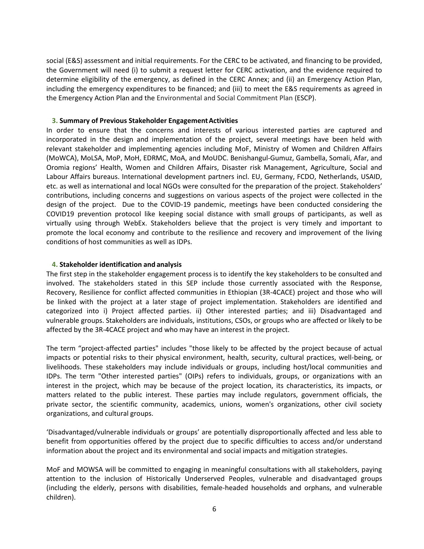social (E&S) assessment and initial requirements. For the CERC to be activated, and financing to be provided, the Government will need (i) to submit a request letter for CERC activation, and the evidence required to determine eligibility of the emergency, as defined in the CERC Annex; and (ii) an Emergency Action Plan, including the emergency expenditures to be financed; and (iii) to meet the E&S requirements as agreed in the Emergency Action Plan and the Environmental and Social Commitment Plan (ESCP).

### <span id="page-7-0"></span>**3. Summary of Previous Stakeholder EngagementActivities**

In order to ensure that the concerns and interests of various interested parties are captured and incorporated in the design and implementation of the project, several meetings have been held with relevant stakeholder and implementing agencies including MoF, Ministry of Women and Children Affairs (MoWCA), MoLSA, MoP, MoH, EDRMC, MoA, and MoUDC. Benishangul-Gumuz, Gambella, Somali, Afar, and Oromia regions' Health, Women and Children Affairs, Disaster risk Management, Agriculture, Social and Labour Affairs bureaus. International development partners incl. EU, Germany, FCDO, Netherlands, USAID, etc. as well as international and local NGOs were consulted for the preparation of the project. Stakeholders' contributions, including concerns and suggestions on various aspects of the project were collected in the design of the project. Due to the COVID-19 pandemic, meetings have been conducted considering the COVID19 prevention protocol like keeping social distance with small groups of participants, as well as virtually using through WebEx. Stakeholders believe that the project is very timely and important to promote the local economy and contribute to the resilience and recovery and improvement of the living conditions of host communities as well as IDPs.

### <span id="page-7-1"></span>**4. Stakeholder identification and analysis**

The first step in the stakeholder engagement process is to identify the key stakeholders to be consulted and involved. The stakeholders stated in this SEP include those currently associated with the Response, Recovery, Resilience for conflict affected communities in Ethiopian (3R-4CACE) project and those who will be linked with the project at a later stage of project implementation. Stakeholders are identified and categorized into i) Project affected parties. ii) Other interested parties; and iii) Disadvantaged and vulnerable groups. Stakeholders are individuals, institutions, CSOs, or groups who are affected or likely to be affected by the 3R-4CACE project and who may have an interest in the project.

The term "project-affected parties" includes "those likely to be affected by the project because of actual impacts or potential risks to their physical environment, health, security, cultural practices, well-being, or livelihoods. These stakeholders may include individuals or groups, including host/local communities and IDPs. The term "Other interested parties" (OIPs) refers to individuals, groups, or organizations with an interest in the project, which may be because of the project location, its characteristics, its impacts, or matters related to the public interest. These parties may include regulators, government officials, the private sector, the scientific community, academics, unions, women's organizations, other civil society organizations, and cultural groups.

'Disadvantaged/vulnerable individuals or groups' are potentially disproportionally affected and less able to benefit from opportunities offered by the project due to specific difficulties to access and/or understand information about the project and its environmental and social impacts and mitigation strategies.

MoF and MOWSA will be committed to engaging in meaningful consultations with all stakeholders, paying attention to the inclusion of Historically Underserved Peoples, vulnerable and disadvantaged groups (including the elderly, persons with disabilities, female-headed households and orphans, and vulnerable children).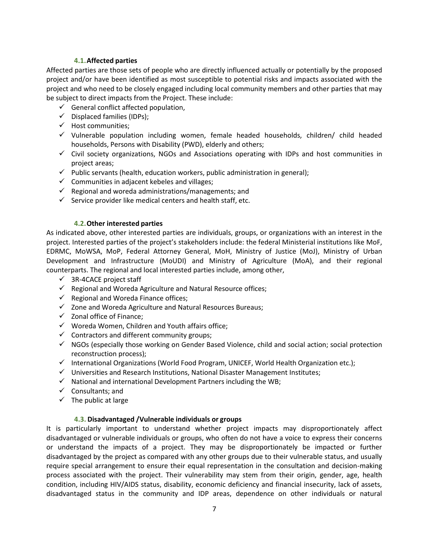## **4.1.Affected parties**

<span id="page-8-0"></span>Affected parties are those sets of people who are directly influenced actually or potentially by the proposed project and/or have been identified as most susceptible to potential risks and impacts associated with the project and who need to be closely engaged including local community members and other parties that may be subject to direct impacts from the Project. These include:

- $\checkmark$  General conflict affected population,
- $\checkmark$  Displaced families (IDPs);
- $\checkmark$  Host communities;
- $\checkmark$  Vulnerable population including women, female headed households, children/ child headed households, Persons with Disability (PWD), elderly and others;
- $\checkmark$  Civil society organizations, NGOs and Associations operating with IDPs and host communities in project areas;
- $\checkmark$  Public servants (health, education workers, public administration in general);
- $\checkmark$  Communities in adjacent kebeles and villages;
- $\checkmark$  Regional and woreda administrations/managements; and
- $\checkmark$  Service provider like medical centers and health staff, etc.

## **4.2.Other interested parties**

<span id="page-8-1"></span>As indicated above, other interested parties are individuals, groups, or organizations with an interest in the project. Interested parties of the project's stakeholders include: the federal Ministerial institutions like MoF, EDRMC, MoWSA, MoP, Federal Attorney General, MoH, Ministry of Justice (MoJ), Ministry of Urban Development and Infrastructure (MoUDI) and Ministry of Agriculture (MoA), and their regional counterparts. The regional and local interested parties include, among other,

- $\checkmark$  3R-4CACE project staff
- $\checkmark$  Regional and Woreda Agriculture and Natural Resource offices;
- $\checkmark$  Regional and Woreda Finance offices;
- $\checkmark$  Zone and Woreda Agriculture and Natural Resources Bureaus;
- $\checkmark$  Zonal office of Finance;
- $\checkmark$  Woreda Women, Children and Youth affairs office;
- $\checkmark$  Contractors and different community groups;
- $\checkmark$  NGOs (especially those working on Gender Based Violence, child and social action; social protection reconstruction process);
- International Organizations (World Food Program, UNICEF, World Health Organization etc.);
- $\checkmark$  Universities and Research Institutions, National Disaster Management Institutes;
- $\checkmark$  National and international Development Partners including the WB;
- $\checkmark$  Consultants; and
- $\checkmark$  The public at large

## **4.3. Disadvantaged /Vulnerable individuals or groups**

<span id="page-8-2"></span>It is particularly important to understand whether project impacts may disproportionately affect disadvantaged or vulnerable individuals or groups, who often do not have a voice to express their concerns or understand the impacts of a project. They may be disproportionately be impacted or further disadvantaged by the project as compared with any other groups due to their vulnerable status, and usually require special arrangement to ensure their equal representation in the consultation and decision-making process associated with the project. Their vulnerability may stem from their origin, gender, age, health condition, including HIV/AIDS status, disability, economic deficiency and financial insecurity, lack of assets, disadvantaged status in the community and IDP areas, dependence on other individuals or natural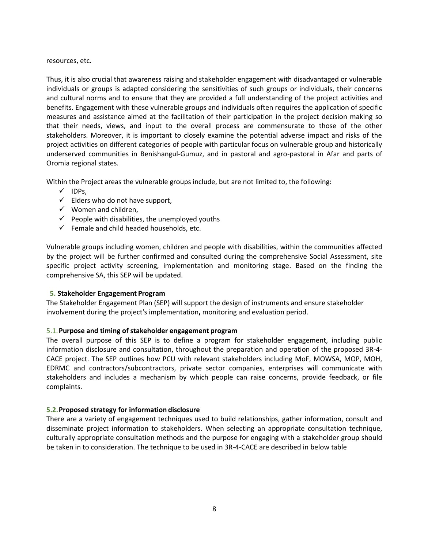### resources, etc.

Thus, it is also crucial that awareness raising and stakeholder engagement with disadvantaged or vulnerable individuals or groups is adapted considering the sensitivities of such groups or individuals, their concerns and cultural norms and to ensure that they are provided a full understanding of the project activities and benefits. Engagement with these vulnerable groups and individuals often requires the application of specific measures and assistance aimed at the facilitation of their participation in the project decision making so that their needs, views, and input to the overall process are commensurate to those of the other stakeholders. Moreover, it is important to closely examine the potential adverse impact and risks of the project activities on different categories of people with particular focus on vulnerable group and historically underserved communities in Benishangul-Gumuz, and in pastoral and agro-pastoral in Afar and parts of Oromia regional states.

Within the Project areas the vulnerable groups include, but are not limited to, the following:

- $\checkmark$  IDPs,
- $\checkmark$  Elders who do not have support,
- $\checkmark$  Women and children,
- $\checkmark$  People with disabilities, the unemployed youths
- $\checkmark$  Female and child headed households, etc.

Vulnerable groups including women, children and people with disabilities, within the communities affected by the project will be further confirmed and consulted during the comprehensive Social Assessment, site specific project activity screening, implementation and monitoring stage. Based on the finding the comprehensive SA, this SEP will be updated.

## <span id="page-9-0"></span>**5. Stakeholder Engagement Program**

The Stakeholder Engagement Plan (SEP) will support the design of instruments and ensure stakeholder involvement during the project's implementation**,** monitoring and evaluation period.

## <span id="page-9-1"></span>5.1.**Purpose and timing of stakeholder engagement program**

The overall purpose of this SEP is to define a program for stakeholder engagement, including public information disclosure and consultation, throughout the preparation and operation of the proposed 3R-4- CACE project. The SEP outlines how PCU with relevant stakeholders including MoF, MOWSA, MOP, MOH, EDRMC and contractors/subcontractors, private sector companies, enterprises will communicate with stakeholders and includes a mechanism by which people can raise concerns, provide feedback, or file complaints.

## <span id="page-9-2"></span>**5.2.Proposed strategy for information disclosure**

There are a variety of engagement techniques used to build relationships, gather information, consult and disseminate project information to stakeholders. When selecting an appropriate consultation technique, culturally appropriate consultation methods and the purpose for engaging with a stakeholder group should be taken in to consideration. The technique to be used in 3R-4-CACE are described in below table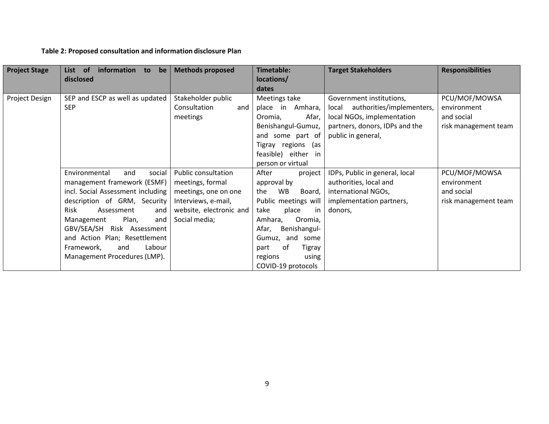## **Table 2: Proposed consultation and information disclosure Plan**

| <b>Project Stage</b> | information to<br>List of<br>be<br>disclosed                                                                                                                                                                                                                                                                                       | <b>Methods proposed</b>                                                                                                                   | Timetable:<br>locations/<br>dates                                                                                                                                                                                                            | <b>Target Stakeholders</b>                                                                                                                        | <b>Responsibilities</b>                                            |
|----------------------|------------------------------------------------------------------------------------------------------------------------------------------------------------------------------------------------------------------------------------------------------------------------------------------------------------------------------------|-------------------------------------------------------------------------------------------------------------------------------------------|----------------------------------------------------------------------------------------------------------------------------------------------------------------------------------------------------------------------------------------------|---------------------------------------------------------------------------------------------------------------------------------------------------|--------------------------------------------------------------------|
| Project Design       | SEP and ESCP as well as updated<br><b>SEP</b>                                                                                                                                                                                                                                                                                      | Stakeholder public<br>Consultation<br>and<br>meetings                                                                                     | Meetings take<br>place in Amhara,<br>Afar,<br>Oromia,<br>Benishangul-Gumuz,<br>and some part of<br>Tigray regions (as<br>feasible) either<br>in<br>person or virtual                                                                         | Government institutions,<br>local authorities/implementers,<br>local NGOs, implementation<br>partners, donors, IDPs and the<br>public in general, | PCU/MOF/MOWSA<br>environment<br>and social<br>risk management team |
|                      | social<br>and<br>Environmental<br>management framework (ESMF)<br>incl. Social Assessment including<br>description of GRM, Security<br><b>Risk</b><br>Assessment<br>and<br>Plan,<br>Management<br>and<br>GBV/SEA/SH Risk Assessment<br>and Action Plan; Resettlement<br>Labour<br>Framework,<br>and<br>Management Procedures (LMP). | <b>Public consultation</b><br>meetings, formal<br>meetings, one on one<br>Interviews, e-mail,<br>website, electronic and<br>Social media; | After<br>project<br>approval by<br>WB<br>the<br>Board,<br>Public meetings will<br>place<br>in<br>take<br>Amhara,<br>Oromia,<br>Afar,<br>Benishangul-<br>Gumuz, and<br>some<br>оf<br>part<br>Tigray<br>regions<br>using<br>COVID-19 protocols | IDPs, Public in general, local<br>authorities, local and<br>international NGOs,<br>implementation partners,<br>donors,                            | PCU/MOF/MOWSA<br>environment<br>and social<br>risk management team |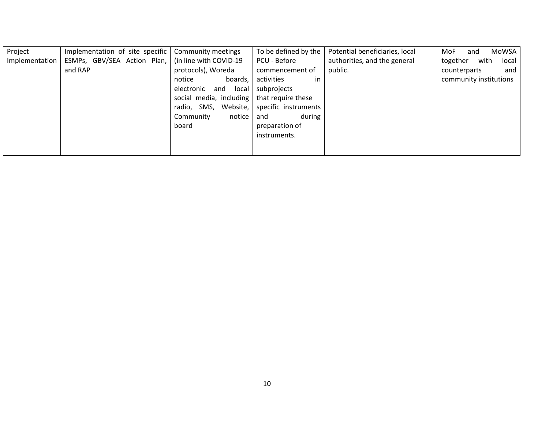| Project        | Implementation of site specific                      | Community meetings      | To be defined by the | Potential beneficiaries, local | MoWSA<br>MoF<br>and       |
|----------------|------------------------------------------------------|-------------------------|----------------------|--------------------------------|---------------------------|
| Implementation | ESMPs, GBV/SEA Action Plan,   (in line with COVID-19 |                         | PCU - Before         | authorities, and the general   | together<br>with<br>local |
|                | and RAP                                              | protocols), Woreda      | commencement of      | public.                        | and<br>counterparts       |
|                |                                                      | boards,<br>notice       | in<br>activities     |                                | community institutions    |
|                |                                                      | local<br>electronic and | subprojects          |                                |                           |
|                |                                                      | social media, including | that require these   |                                |                           |
|                |                                                      | Website,<br>radio, SMS, | specific instruments |                                |                           |
|                |                                                      | Community<br>notice     | during<br>and        |                                |                           |
|                |                                                      | board                   | preparation of       |                                |                           |
|                |                                                      |                         | instruments.         |                                |                           |
|                |                                                      |                         |                      |                                |                           |
|                |                                                      |                         |                      |                                |                           |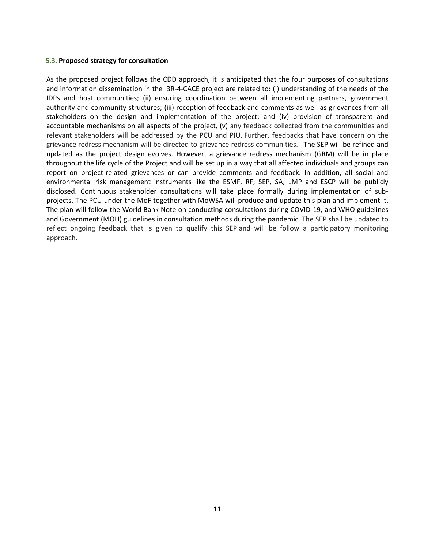## <span id="page-12-0"></span>**5.3. Proposed strategy for consultation**

As the proposed project follows the CDD approach, it is anticipated that the four purposes of consultations and information dissemination in the 3R-4-CACE project are related to: (i) understanding of the needs of the IDPs and host communities; (ii) ensuring coordination between all implementing partners, government authority and community structures; (iii) reception of feedback and comments as well as grievances from all stakeholders on the design and implementation of the project; and (iv) provision of transparent and accountable mechanisms on all aspects of the project, (v) any feedback collected from the communities and relevant stakeholders will be addressed by the PCU and PIU. Further, feedbacks that have concern on the grievance redress mechanism will be directed to grievance redress communities. The SEP will be refined and updated as the project design evolves. However, a grievance redress mechanism (GRM) will be in place throughout the life cycle of the Project and will be set up in a way that all affected individuals and groups can report on project-related grievances or can provide comments and feedback. In addition, all social and environmental risk management instruments like the ESMF, RF, SEP, SA, LMP and ESCP will be publicly disclosed. Continuous stakeholder consultations will take place formally during implementation of subprojects. The PCU under the MoF together with MoWSA will produce and update this plan and implement it. The plan will follow the World Bank Note on conducting consultations during COVID-19, and WHO guidelines and Government (MOH) guidelines in consultation methods during the pandemic. The SEP shall be updated to reflect ongoing feedback that is given to qualify this SEP and will be follow a participatory monitoring approach.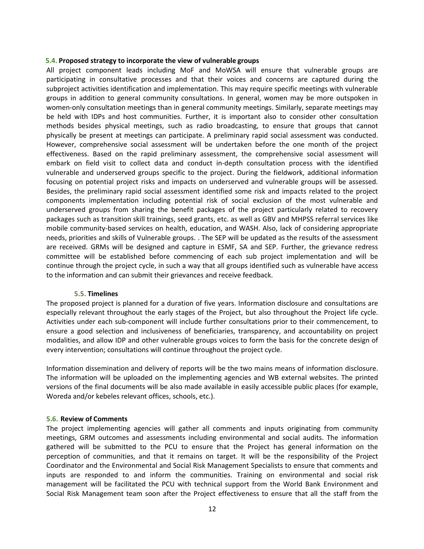#### <span id="page-13-0"></span>**5.4. Proposed strategy to incorporate the view of vulnerable groups**

All project component leads including MoF and MoWSA will ensure that vulnerable groups are participating in consultative processes and that their voices and concerns are captured during the subproject activities identification and implementation. This may require specific meetings with vulnerable groups in addition to general community consultations. In general, women may be more outspoken in women-only consultation meetings than in general community meetings. Similarly, separate meetings may be held with IDPs and host communities. Further, it is important also to consider other consultation methods besides physical meetings, such as radio broadcasting, to ensure that groups that cannot physically be present at meetings can participate. A preliminary rapid social assessment was conducted. However, comprehensive social assessment will be undertaken before the one month of the project effectiveness. Based on the rapid preliminary assessment, the comprehensive social assessment will embark on field visit to collect data and conduct in-depth consultation process with the identified vulnerable and underserved groups specific to the project. During the fieldwork, additional information focusing on potential project risks and impacts on underserved and vulnerable groups will be assessed. Besides, the preliminary rapid social assessment identified some risk and impacts related to the project components implementation including potential risk of social exclusion of the most vulnerable and underserved groups from sharing the benefit packages of the project particularly related to recovery packages such as transition skill trainings, seed grants, etc. as well as GBV and MHPSS referral services like mobile community-based services on health, education, and WASH. Also, lack of considering appropriate needs, priorities and skills of Vulnerable groups. . The SEP will be updated as the results of the assessment are received. GRMs will be designed and capture in ESMF, SA and SEP. Further, the grievance redress committee will be established before commencing of each sub project implementation and will be continue through the project cycle, in such a way that all groups identified such as vulnerable have access to the information and can submit their grievances and receive feedback.

#### **5.5. Timelines**

<span id="page-13-1"></span>The proposed project is planned for a duration of five years. Information disclosure and consultations are especially relevant throughout the early stages of the Project, but also throughout the Project life cycle. Activities under each sub-component will include further consultations prior to their commencement, to ensure a good selection and inclusiveness of beneficiaries, transparency, and accountability on project modalities, and allow IDP and other vulnerable groups voices to form the basis for the concrete design of every intervention; consultations will continue throughout the project cycle.

Information dissemination and delivery of reports will be the two mains means of information disclosure. The information will be uploaded on the implementing agencies and WB external websites. The printed versions of the final documents will be also made available in easily accessible public places (for example, Woreda and/or kebeles relevant offices, schools, etc.).

#### <span id="page-13-2"></span>**5.6. Review of Comments**

The project implementing agencies will gather all comments and inputs originating from community meetings, GRM outcomes and assessments including environmental and social audits. The information gathered will be submitted to the PCU to ensure that the Project has general information on the perception of communities, and that it remains on target. It will be the responsibility of the Project Coordinator and the Environmental and Social Risk Management Specialists to ensure that comments and inputs are responded to and inform the communities. Training on environmental and social risk management will be facilitated the PCU with technical support from the World Bank Environment and Social Risk Management team soon after the Project effectiveness to ensure that all the staff from the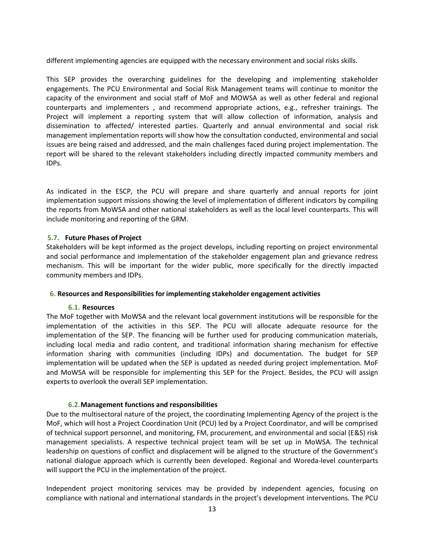different implementing agencies are equipped with the necessary environment and social risks skills.

This SEP provides the overarching guidelines for the developing and implementing stakeholder engagements. The PCU Environmental and Social Risk Management teams will continue to monitor the capacity of the environment and social staff of MoF and MOWSA as well as other federal and regional counterparts and implementers , and recommend appropriate actions, e.g., refresher trainings. The Project will implement a reporting system that will allow collection of information, analysis and dissemination to affected/ interested parties. Quarterly and annual environmental and social risk management implementation reports will show how the consultation conducted, environmental and social issues are being raised and addressed, and the main challenges faced during project implementation. The report will be shared to the relevant stakeholders including directly impacted community members and IDPs.

As indicated in the ESCP, the PCU will prepare and share quarterly and annual reports for joint implementation support missions showing the level of implementation of different indicators by compiling the reports from MoWSA and other national stakeholders as well as the local level counterparts. This will include monitoring and reporting of the GRM.

## <span id="page-14-0"></span>**5.7. Future Phases of Project**

Stakeholders will be kept informed as the project develops, including reporting on project environmental and social performance and implementation of the stakeholder engagement plan and grievance redress mechanism. This will be important for the wider public, more specifically for the directly impacted community members and IDPs.

### <span id="page-14-1"></span>**6. Resources and Responsibilities for implementing stakeholder engagement activities**

### <span id="page-14-2"></span>**6.1. Resources**

The MoF together with MoWSA and the relevant local government institutions will be responsible for the implementation of the activities in this SEP. The PCU will allocate adequate resource for the implementation of the SEP. The financing will be further used for producing communication materials, including local media and radio content, and traditional information sharing mechanism for effective information sharing with communities (including IDPs) and documentation. The budget for SEP implementation will be updated when the SEP is updated as needed during project implementation. MoF and MoWSA will be responsible for implementing this SEP for the Project. Besides, the PCU will assign experts to overlook the overall SEP implementation.

### **6.2.Management functions and responsibilities**

<span id="page-14-3"></span>Due to the multisectoral nature of the project, the coordinating Implementing Agency of the project is the MoF, which will host a Project Coordination Unit (PCU) led by a Project Coordinator, and will be comprised of technical support personnel, and monitoring, FM, procurement, and environmental and social (E&S) risk management specialists. A respective technical project team will be set up in MoWSA. The technical leadership on questions of conflict and displacement will be aligned to the structure of the Government's national dialogue approach which is currently been developed. Regional and Woreda-level counterparts will support the PCU in the implementation of the project.

Independent project monitoring services may be provided by independent agencies, focusing on compliance with national and international standards in the project's development interventions. The PCU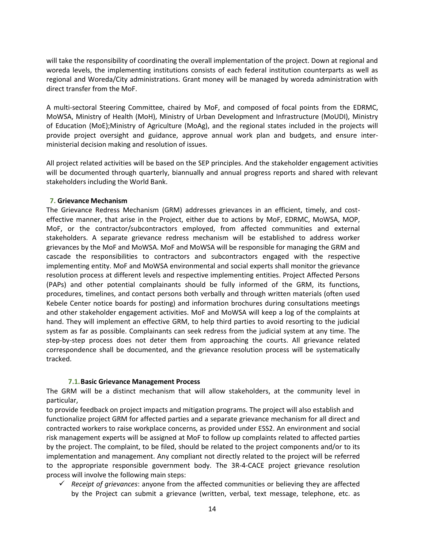will take the responsibility of coordinating the overall implementation of the project. Down at regional and woreda levels, the implementing institutions consists of each federal institution counterparts as well as regional and Woreda/City administrations. Grant money will be managed by woreda administration with direct transfer from the MoF.

A multi-sectoral Steering Committee, chaired by MoF, and composed of focal points from the EDRMC, MoWSA, Ministry of Health (MoH), Ministry of Urban Development and Infrastructure (MoUDI), Ministry of Education (MoE);Ministry of Agriculture (MoAg), and the regional states included in the projects will provide project oversight and guidance, approve annual work plan and budgets, and ensure interministerial decision making and resolution of issues.

All project related activities will be based on the SEP principles. And the stakeholder engagement activities will be documented through quarterly, biannually and annual progress reports and shared with relevant stakeholders including the World Bank.

## <span id="page-15-0"></span>**7. Grievance Mechanism**

The Grievance Redress Mechanism (GRM) addresses grievances in an efficient, timely, and costeffective manner, that arise in the Project, either due to actions by MoF, EDRMC, MoWSA, MOP, MoF, or the contractor/subcontractors employed, from affected communities and external stakeholders. A separate grievance redress mechanism will be established to address worker grievances by the MoF and MoWSA. MoF and MoWSA will be responsible for managing the GRM and cascade the responsibilities to contractors and subcontractors engaged with the respective implementing entity. MoF and MoWSA environmental and social experts shall monitor the grievance resolution process at different levels and respective implementing entities. Project Affected Persons (PAPs) and other potential complainants should be fully informed of the GRM, its functions, procedures, timelines, and contact persons both verbally and through written materials (often used Kebele Center notice boards for posting) and information brochures during consultations meetings and other stakeholder engagement activities. MoF and MoWSA will keep a log of the complaints at hand. They will implement an effective GRM, to help third parties to avoid resorting to the judicial system as far as possible. Complainants can seek redress from the judicial system at any time. The step-by-step process does not deter them from approaching the courts. All grievance related correspondence shall be documented, and the grievance resolution process will be systematically tracked.

### **7.1.Basic Grievance Management Process**

<span id="page-15-1"></span>The GRM will be a distinct mechanism that will allow stakeholders, at the community level in particular,

to provide feedback on project impacts and mitigation programs. The project will also establish and functionalize project GRM for affected parties and a separate grievance mechanism for all direct and contracted workers to raise workplace concerns, as provided under ESS2. An environment and social risk management experts will be assigned at MoF to follow up complaints related to affected parties by the project. The complaint, to be filed, should be related to the project components and/or to its implementation and management. Any compliant not directly related to the project will be referred to the appropriate responsible government body. The 3R-4-CACE project grievance resolution process will involve the following main steps:

 *Receipt of grievances*: anyone from the affected communities or believing they are affected by the Project can submit a grievance (written, verbal, text message, telephone, etc. as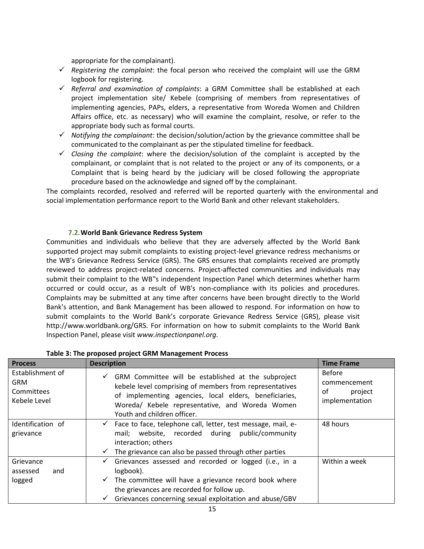appropriate for the complainant).

- $\checkmark$  Registering the complaint: the focal person who received the complaint will use the GRM logbook for registering.
- *Referral and examination of complaints*: a GRM Committee shall be established at each project implementation site/ Kebele (comprising of members from representatives of implementing agencies, PAPs, elders, a representative from Woreda Women and Children Affairs office, etc. as necessary) who will examine the complaint, resolve, or refer to the appropriate body such as formal courts.
- *Notifying the complainant*: the decision/solution/action by the grievance committee shall be communicated to the complainant as per the stipulated timeline for feedback.
- $\checkmark$  Closing the complaint: where the decision/solution of the complaint is accepted by the complainant, or complaint that is not related to the project or any of its components, or a Complaint that is being heard by the judiciary will be closed following the appropriate procedure based on the acknowledge and signed off by the complainant.

The complaints recorded, resolved and referred will be reported quarterly with the environmental and social implementation performance report to the World Bank and other relevant stakeholders.

## **7.2.World Bank Grievance Redress System**

<span id="page-16-0"></span>Communities and individuals who believe that they are adversely affected by the World Bank supported project may submit complaints to existing project-level grievance redress mechanisms or the WB's Grievance Redress Service (GRS). The GRS ensures that complaints received are promptly reviewed to address project-related concerns. Project-affected communities and individuals may submit their complaint to the WB"s independent Inspection Panel which determines whether harm occurred or could occur, as a result of WB's non-compliance with its policies and procedures. Complaints may be submitted at any time after concerns have been brought directly to the World Bank's attention, and Bank Management has been allowed to respond. For information on how to submit complaints to the World Bank's corporate Grievance Redress Service (GRS), please visit http://www.worldbank.org/GRS. For information on how to submit complaints to the World Bank Inspection Panel, please visit *[www.inspectionpanel.org](http://www.inspectionpanel.org/)*.

| <b>Process</b>                                                      | <b>Description</b>                                                                                                                                                                                                                                                         | <b>Time Frame</b>                                                |
|---------------------------------------------------------------------|----------------------------------------------------------------------------------------------------------------------------------------------------------------------------------------------------------------------------------------------------------------------------|------------------------------------------------------------------|
| Establishment of<br><b>GRM</b><br><b>Committees</b><br>Kebele Level | GRM Committee will be established at the subproject<br>$\checkmark$<br>kebele level comprising of members from representatives<br>of implementing agencies, local elders, beneficiaries,<br>Woreda/ Kebele representative, and Woreda Women<br>Youth and children officer. | <b>Before</b><br>commencement<br>οf<br>project<br>implementation |
| Identification of<br>grievance                                      | Face to face, telephone call, letter, test message, mail, e-<br>$\checkmark$<br>mail; website, recorded during public/community<br>interaction; others<br>The grievance can also be passed through other parties<br>$\checkmark$                                           | 48 hours                                                         |
| Grievance<br>assessed<br>and<br>logged                              | Grievances assessed and recorded or logged (i.e., in a<br>$\checkmark$<br>logbook).<br>The committee will have a grievance record book where<br>$\checkmark$<br>the grievances are recorded for follow up.<br>Grievances concerning sexual exploitation and abuse/GBV<br>✓ | Within a week                                                    |

### **Table 3: The proposed project GRM Management Process**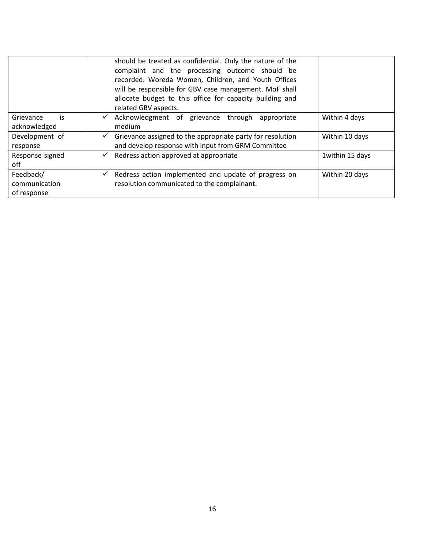|                                           | should be treated as confidential. Only the nature of the<br>complaint and the processing outcome should be<br>recorded. Woreda Women, Children, and Youth Offices<br>will be responsible for GBV case management. MoF shall<br>allocate budget to this office for capacity building and<br>related GBV aspects. |                 |
|-------------------------------------------|------------------------------------------------------------------------------------------------------------------------------------------------------------------------------------------------------------------------------------------------------------------------------------------------------------------|-----------------|
| is<br>Grievance<br>acknowledged           | Acknowledgment of grievance<br>through<br>appropriate<br>$\checkmark$<br>medium                                                                                                                                                                                                                                  | Within 4 days   |
| Development of<br>response                | Grievance assigned to the appropriate party for resolution<br>$\checkmark$<br>and develop response with input from GRM Committee                                                                                                                                                                                 | Within 10 days  |
| Response signed<br>off                    | Redress action approved at appropriate<br>$\checkmark$                                                                                                                                                                                                                                                           | 1within 15 days |
| Feedback/<br>communication<br>of response | Redress action implemented and update of progress on<br>$\checkmark$<br>resolution communicated to the complainant.                                                                                                                                                                                              | Within 20 days  |